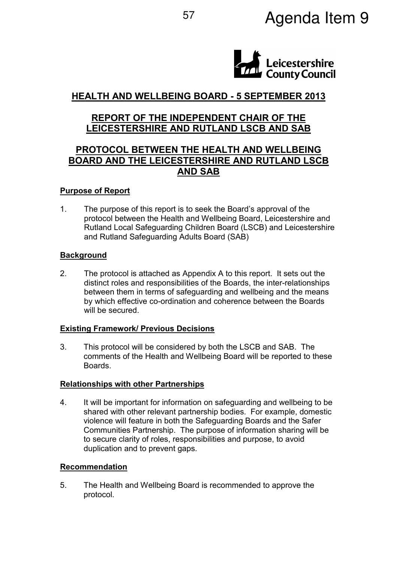

# HEALTH AND WELLBEING BOARD - 5 SEPTEMBER 2013

### REPORT OF THE INDEPENDENT CHAIR OF THE LEICESTERSHIRE AND RUTLAND LSCB AND SAB

## PROTOCOL BETWEEN THE HEALTH AND WELLBEING BOARD AND THE LEICESTERSHIRE AND RUTLAND LSCB AND SAB

#### Purpose of Report

1. The purpose of this report is to seek the Board's approval of the protocol between the Health and Wellbeing Board, Leicestershire and Rutland Local Safeguarding Children Board (LSCB) and Leicestershire and Rutland Safeguarding Adults Board (SAB)

#### **Background**

2. The protocol is attached as Appendix A to this report. It sets out the distinct roles and responsibilities of the Boards, the inter-relationships between them in terms of safeguarding and wellbeing and the means by which effective co-ordination and coherence between the Boards will be secured.

#### Existing Framework/ Previous Decisions

3. This protocol will be considered by both the LSCB and SAB. The comments of the Health and Wellbeing Board will be reported to these **Boards** 

#### Relationships with other Partnerships

4. It will be important for information on safeguarding and wellbeing to be shared with other relevant partnership bodies. For example, domestic violence will feature in both the Safeguarding Boards and the Safer Communities Partnership. The purpose of information sharing will be to secure clarity of roles, responsibilities and purpose, to avoid duplication and to prevent gaps.

#### Recommendation

5. The Health and Wellbeing Board is recommended to approve the protocol.